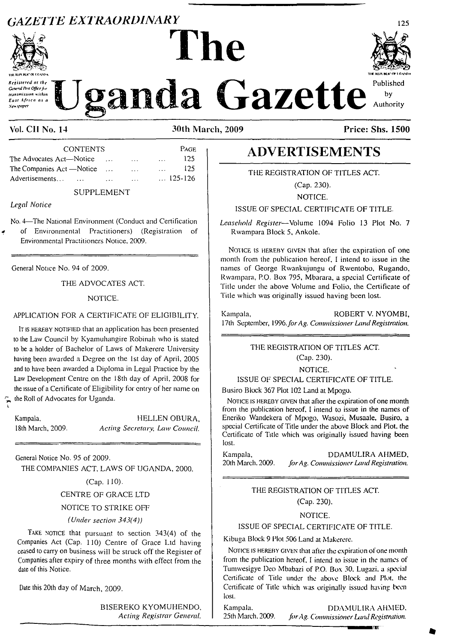# *gazette extraordinary* <sup>125</sup>



*Gcivnil***/btf** *Officefi transmission nilhin East Africa as <sup>a</sup>*

by Authority

**Construction of the Listance of the Construction of the Construction of the Construction of the Construction of the Construction of the Construction of the Construction of the Construction of the Construction of the Const** 

**Vol. CII No. 14 30th March, 2009 Price: Shs. 1500**

**The**

| <b>CONTENTS</b>            |          |              | PAGE             |     |
|----------------------------|----------|--------------|------------------|-----|
| The Advocates Act—Notice   |          | $\cdots$     | $\cdots$         | 125 |
| The Companies Act — Notice |          | $\cdots$     | $\sim$ $\sim$    | 125 |
| Advertisements             | $\cdots$ | $\mathbf{1}$ | $\ldots$ 125-126 |     |

SUPPLEMENT

*Legal Notice*

L

 $\tilde{\mathbf{r}}$ 

No. <sup>4</sup>—The National Environment (Conduct and Certification of Environmental Practitioners) (Registration of Environmental Practitioners Notice. 2009.

General Notice No. 94 of 2009.

THE ADVOCATES ACT.

### NOTICE.

### APPLICATION FOR A CERTIFICATE OF ELIGIBILITY.

<sup>I</sup>t is hereby notified that an application has been presented to the Law Council by Kyamuhangire Robinah who is slated to be a holder of Bachelor of Laws of Makerere University having been awarded a Degree on the 1st day of April, 2005 and to have been awarded a Diploma in Legal Practice by the Law Development Centre on the 18th day of April, 2008 for the issue of a Certificate of Eligibility for entry of her name on the Roll of Advocates for Uganda.

Kampala. HELLEN OBURA, 18th March, 2009. *Acting Secretary, Law Council.*

General Notice No. 95 of 2009. THE COMPANIES ACT, LAWS OF UGANDA, 2000.

### (Cap. 110).

## CENTRE OF GRACE LTD

### NOTICE TO STRIKE OFF

### *(Under section 343(4))*

TAKE NOTICE that pursuant to section 343(4) of the Companies Act (Cap. 110) Centre of Grace Ltd having ceased to carry on business will be struck off the Register of Companies after expiry of three months with effect from the date of this Notice.

Date this 20th day of March, 2009.

BISEREKO KYOMUHENDO, *Acting Registrar General.*

# **ADVERTISEMENTS**

THE REGISTRATION OF TITLES ACT.

(Cap. 230).

NOTICE.

ISSUE OF SPECIAL CERTIFICATE OF TITLE.

*Leasehold Register*—Volume 1094 Folio 13 Plot No. 7 Rwampara Block 5, Ankole.

NOTICE IS HEREBY GIVEN that after the expiration of one month from the publication hereof, I intend to issue in the names of George Rwankujungu of Rwentobo, Rugando, Rwampara, P.O. Box 795, Mbarara, a special Certificate of Title under the above Volume and Folio, the Certificate of Title which was originally issued having been lost.

Kampala, ROBERT V. NYOMBI, 17th September, *1996.forAg. Commissioner LandRegistration.*

> THE REGISTRATION OF TITLES ACT. (Cap. 230).

> > NOTICE.

### ISSUE OF SPECIAL CERTIFICATE OF TITLE.

Busiro Block 367 Plot 102 Land at Mpogo.

NOTICE IS HEREBY GIVEN that after the expiration of one month from the publication hereof, I intend to issue in the names of Eneriko Wandekera of Mpogo, Wasozi, Musaale, Busiro, a special Certificate of Title under the above Block and Plot, the Certificate of Title which was originally issued having been lost.

Kampala, DDAMULIRA AHMED,<br>20th March. 2009. for Ag. Commissioner Land Registration. 20th March. 2009. *forAg. Commissioner LandRegistration.*

> THE REGISTRATION OF TITLES ACT. (Cap. 230).

### NOTICE.

### ISSUE OF SPECIAL CERTIFICATE OF TITLE.

Kibuga Block 9 Plot 506 Land at Makerere.

NOTICE IS HEREBY GIVEN that after the expiration of one month from the publication hereof, I intend to issue in the names of Tumwesigye Deo Mbabazi of P.O. Box 30. Lugazi. a special Certificate of Title under the above Block and Plot, the Certificate of Title which was originally issued having been lost.

Kampala. DDAMULIRA AHMED.<br>25th March. 2009. for Ag. Commissioner Land Registration. 25th March. 2009. *forAg. Commissioner LandRegistration.*

**- MHMMWr**